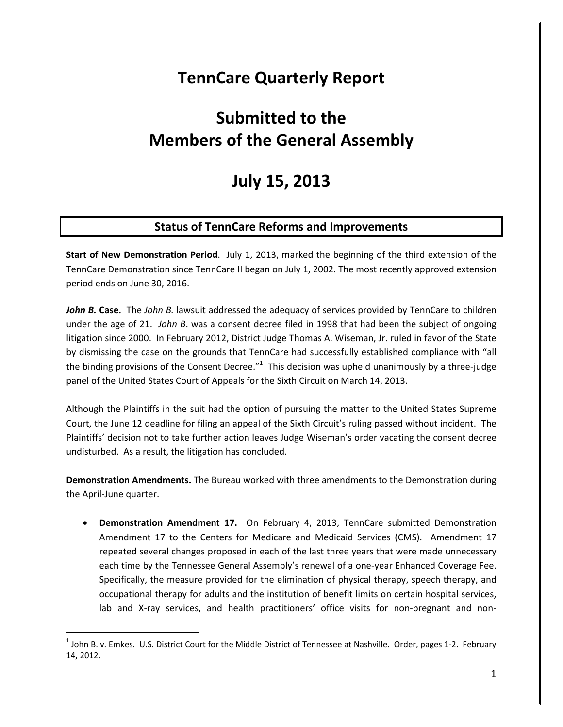## **TennCare Quarterly Report**

# **Submitted to the Members of the General Assembly**

## **July 15, 2013**

## **Status of TennCare Reforms and Improvements**

**Start of New Demonstration Period**. July 1, 2013, marked the beginning of the third extension of the TennCare Demonstration since TennCare II began on July 1, 2002. The most recently approved extension period ends on June 30, 2016.

*John B. Case.* The *John B.* lawsuit addressed the adequacy of services provided by TennCare to children under the age of 21. *John B*. was a consent decree filed in 1998 that had been the subject of ongoing litigation since 2000. In February 2012, District Judge Thomas A. Wiseman, Jr. ruled in favor of the State by dismissing the case on the grounds that TennCare had successfully established compliance with "all the binding provisions of the Consent Decree."<sup>1</sup> This decision was upheld unanimously by a three-judge panel of the United States Court of Appeals for the Sixth Circuit on March 14, 2013.

Although the Plaintiffs in the suit had the option of pursuing the matter to the United States Supreme Court, the June 12 deadline for filing an appeal of the Sixth Circuit's ruling passed without incident. The Plaintiffs' decision not to take further action leaves Judge Wiseman's order vacating the consent decree undisturbed. As a result, the litigation has concluded.

**Demonstration Amendments.** The Bureau worked with three amendments to the Demonstration during the April-June quarter.

• **Demonstration Amendment 17.** On February 4, 2013, TennCare submitted Demonstration Amendment 17 to the Centers for Medicare and Medicaid Services (CMS). Amendment 17 repeated several changes proposed in each of the last three years that were made unnecessary each time by the Tennessee General Assembly's renewal of a one-year Enhanced Coverage Fee. Specifically, the measure provided for the elimination of physical therapy, speech therapy, and occupational therapy for adults and the institution of benefit limits on certain hospital services, lab and X-ray services, and health practitioners' office visits for non-pregnant and non-

 $^1$  John B. v. Emkes. U.S. District Court for the Middle District of Tennessee at Nashville. Order, pages 1-2. February 14, 2012.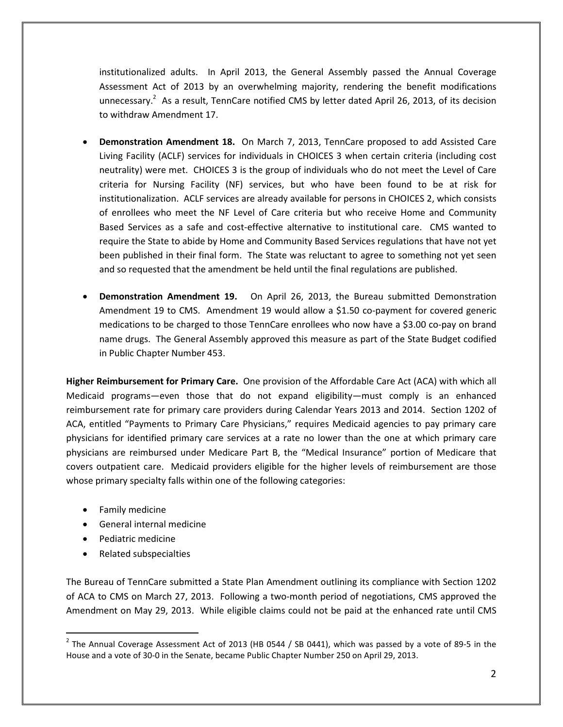institutionalized adults. In April 2013, the General Assembly passed the Annual Coverage Assessment Act of 2013 by an overwhelming majority, rendering the benefit modifications unnecessary.<sup>2</sup> As a result, TennCare notified CMS by letter dated April 26, 2013, of its decision to withdraw Amendment 17.

- **Demonstration Amendment 18.** On March 7, 2013, TennCare proposed to add Assisted Care Living Facility (ACLF) services for individuals in CHOICES 3 when certain criteria (including cost neutrality) were met. CHOICES 3 is the group of individuals who do not meet the Level of Care criteria for Nursing Facility (NF) services, but who have been found to be at risk for institutionalization. ACLF services are already available for persons in CHOICES 2, which consists of enrollees who meet the NF Level of Care criteria but who receive Home and Community Based Services as a safe and cost-effective alternative to institutional care. CMS wanted to require the State to abide by Home and Community Based Services regulations that have not yet been published in their final form. The State was reluctant to agree to something not yet seen and so requested that the amendment be held until the final regulations are published.
- **Demonstration Amendment 19.** On April 26, 2013, the Bureau submitted Demonstration Amendment 19 to CMS. Amendment 19 would allow a \$1.50 co-payment for covered generic medications to be charged to those TennCare enrollees who now have a \$3.00 co-pay on brand name drugs. The General Assembly approved this measure as part of the State Budget codified in Public Chapter Number 453.

**Higher Reimbursement for Primary Care.** One provision of the Affordable Care Act (ACA) with which all Medicaid programs—even those that do not expand eligibility—must comply is an enhanced reimbursement rate for primary care providers during Calendar Years 2013 and 2014. Section 1202 of ACA, entitled "Payments to Primary Care Physicians," requires Medicaid agencies to pay primary care physicians for identified primary care services at a rate no lower than the one at which primary care physicians are reimbursed under Medicare Part B, the "Medical Insurance" portion of Medicare that covers outpatient care. Medicaid providers eligible for the higher levels of reimbursement are those whose primary specialty falls within one of the following categories:

- Family medicine
- General internal medicine
- Pediatric medicine

l

• Related subspecialties

The Bureau of TennCare submitted a State Plan Amendment outlining its compliance with Section 1202 of ACA to CMS on March 27, 2013. Following a two-month period of negotiations, CMS approved the Amendment on May 29, 2013. While eligible claims could not be paid at the enhanced rate until CMS

 $^2$  The Annual Coverage Assessment Act of 2013 (HB 0544 / SB 0441), which was passed by a vote of 89-5 in the House and a vote of 30-0 in the Senate, became Public Chapter Number 250 on April 29, 2013.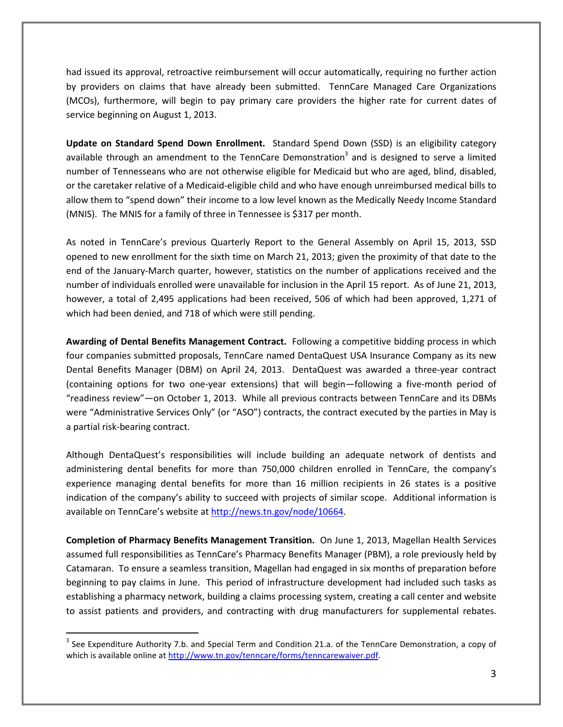had issued its approval, retroactive reimbursement will occur automatically, requiring no further action by providers on claims that have already been submitted. TennCare Managed Care Organizations (MCOs), furthermore, will begin to pay primary care providers the higher rate for current dates of service beginning on August 1, 2013.

**Update on Standard Spend Down Enrollment.** Standard Spend Down (SSD) is an eligibility category available through an amendment to the TennCare Demonstration<sup>3</sup> and is designed to serve a limited number of Tennesseans who are not otherwise eligible for Medicaid but who are aged, blind, disabled, or the caretaker relative of a Medicaid-eligible child and who have enough unreimbursed medical bills to allow them to "spend down" their income to a low level known as the Medically Needy Income Standard (MNIS). The MNIS for a family of three in Tennessee is \$317 per month.

As noted in TennCare's previous Quarterly Report to the General Assembly on April 15, 2013, SSD opened to new enrollment for the sixth time on March 21, 2013; given the proximity of that date to the end of the January-March quarter, however, statistics on the number of applications received and the number of individuals enrolled were unavailable for inclusion in the April 15 report. As of June 21, 2013, however, a total of 2,495 applications had been received, 506 of which had been approved, 1,271 of which had been denied, and 718 of which were still pending.

**Awarding of Dental Benefits Management Contract.** Following a competitive bidding process in which four companies submitted proposals, TennCare named DentaQuest USA Insurance Company as its new Dental Benefits Manager (DBM) on April 24, 2013. DentaQuest was awarded a three-year contract (containing options for two one-year extensions) that will begin—following a five-month period of "readiness review"—on October 1, 2013. While all previous contracts between TennCare and its DBMs were "Administrative Services Only" (or "ASO") contracts, the contract executed by the parties in May is a partial risk-bearing contract.

Although DentaQuest's responsibilities will include building an adequate network of dentists and administering dental benefits for more than 750,000 children enrolled in TennCare, the company's experience managing dental benefits for more than 16 million recipients in 26 states is a positive indication of the company's ability to succeed with projects of similar scope. Additional information is available on TennCare's website at http://news.tn.gov/node/10664.

**Completion of Pharmacy Benefits Management Transition.** On June 1, 2013, Magellan Health Services assumed full responsibilities as TennCare's Pharmacy Benefits Manager (PBM), a role previously held by Catamaran. To ensure a seamless transition, Magellan had engaged in six months of preparation before beginning to pay claims in June. This period of infrastructure development had included such tasks as establishing a pharmacy network, building a claims processing system, creating a call center and website to assist patients and providers, and contracting with drug manufacturers for supplemental rebates.

 $3$  See Expenditure Authority 7.b. and Special Term and Condition 21.a. of the TennCare Demonstration, a copy of which is available online at http://www.tn.gov/tenncare/forms/tenncarewaiver.pdf.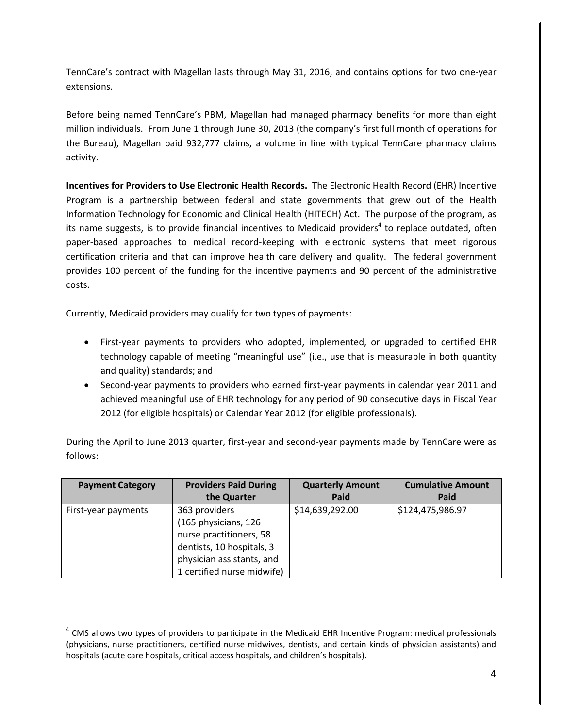TennCare's contract with Magellan lasts through May 31, 2016, and contains options for two one-year extensions.

Before being named TennCare's PBM, Magellan had managed pharmacy benefits for more than eight million individuals. From June 1 through June 30, 2013 (the company's first full month of operations for the Bureau), Magellan paid 932,777 claims, a volume in line with typical TennCare pharmacy claims activity.

**Incentives for Providers to Use Electronic Health Records.** The Electronic Health Record (EHR) Incentive Program is a partnership between federal and state governments that grew out of the Health Information Technology for Economic and Clinical Health (HITECH) Act. The purpose of the program, as its name suggests, is to provide financial incentives to Medicaid providers<sup>4</sup> to replace outdated, often paper-based approaches to medical record-keeping with electronic systems that meet rigorous certification criteria and that can improve health care delivery and quality. The federal government provides 100 percent of the funding for the incentive payments and 90 percent of the administrative costs.

Currently, Medicaid providers may qualify for two types of payments:

 $\overline{a}$ 

- First-year payments to providers who adopted, implemented, or upgraded to certified EHR technology capable of meeting "meaningful use" (i.e., use that is measurable in both quantity and quality) standards; and
- Second-year payments to providers who earned first-year payments in calendar year 2011 and achieved meaningful use of EHR technology for any period of 90 consecutive days in Fiscal Year 2012 (for eligible hospitals) or Calendar Year 2012 (for eligible professionals).

During the April to June 2013 quarter, first-year and second-year payments made by TennCare were as follows:

| <b>Payment Category</b> | <b>Providers Paid During</b> | <b>Quarterly Amount</b> | <b>Cumulative Amount</b> |
|-------------------------|------------------------------|-------------------------|--------------------------|
|                         | the Quarter                  | Paid                    | Paid                     |
| First-year payments     | 363 providers                | \$14,639,292.00         | \$124,475,986.97         |
|                         | (165 physicians, 126         |                         |                          |
|                         | nurse practitioners, 58      |                         |                          |
|                         | dentists, 10 hospitals, 3    |                         |                          |
|                         | physician assistants, and    |                         |                          |
|                         | 1 certified nurse midwife)   |                         |                          |

<sup>&</sup>lt;sup>4</sup> CMS allows two types of providers to participate in the Medicaid EHR Incentive Program: medical professionals (physicians, nurse practitioners, certified nurse midwives, dentists, and certain kinds of physician assistants) and hospitals (acute care hospitals, critical access hospitals, and children's hospitals).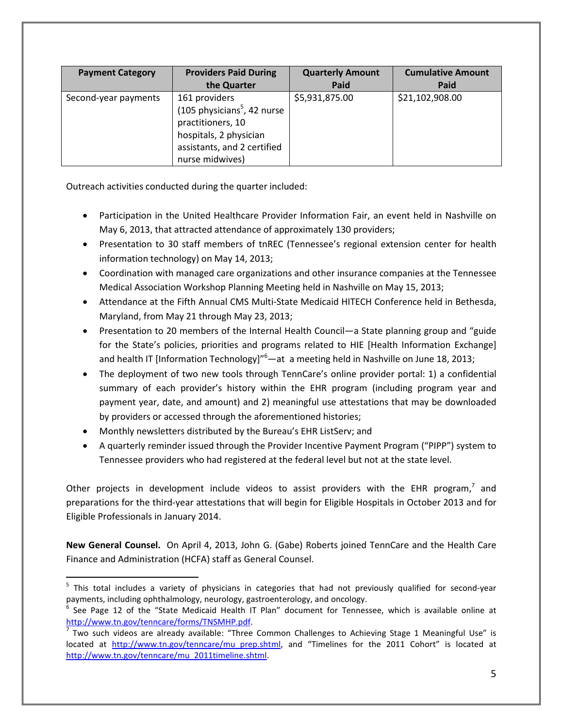| <b>Payment Category</b> | <b>Providers Paid During</b>            | <b>Quarterly Amount</b> | <b>Cumulative Amount</b> |
|-------------------------|-----------------------------------------|-------------------------|--------------------------|
|                         | the Quarter                             | Paid                    | Paid                     |
| Second-year payments    | 161 providers                           | \$5,931,875.00          | \$21,102,908.00          |
|                         | (105 physicians <sup>5</sup> , 42 nurse |                         |                          |
|                         | practitioners, 10                       |                         |                          |
|                         | hospitals, 2 physician                  |                         |                          |
|                         | assistants, and 2 certified             |                         |                          |
|                         | nurse midwives)                         |                         |                          |

Outreach activities conducted during the quarter included:

- Participation in the United Healthcare Provider Information Fair, an event held in Nashville on May 6, 2013, that attracted attendance of approximately 130 providers;
- Presentation to 30 staff members of tnREC (Tennessee's regional extension center for health information technology) on May 14, 2013;
- Coordination with managed care organizations and other insurance companies at the Tennessee Medical Association Workshop Planning Meeting held in Nashville on May 15, 2013;
- Attendance at the Fifth Annual CMS Multi-State Medicaid HITECH Conference held in Bethesda, Maryland, from May 21 through May 23, 2013;
- Presentation to 20 members of the Internal Health Council—a State planning group and "guide for the State's policies, priorities and programs related to HIE [Health Information Exchange] and health IT [Information Technology]"<sup>6</sup>—at a meeting held in Nashville on June 18, 2013;
- The deployment of two new tools through TennCare's online provider portal: 1) a confidential summary of each provider's history within the EHR program (including program year and payment year, date, and amount) and 2) meaningful use attestations that may be downloaded by providers or accessed through the aforementioned histories;
- Monthly newsletters distributed by the Bureau's EHR ListServ; and

l

• A quarterly reminder issued through the Provider Incentive Payment Program ("PIPP") system to Tennessee providers who had registered at the federal level but not at the state level.

Other projects in development include videos to assist providers with the EHR program, $^7$  and preparations for the third-year attestations that will begin for Eligible Hospitals in October 2013 and for Eligible Professionals in January 2014.

**New General Counsel.** On April 4, 2013, John G. (Gabe) Roberts joined TennCare and the Health Care Finance and Administration (HCFA) staff as General Counsel.

<sup>&</sup>lt;sup>5</sup> This total includes a variety of physicians in categories that had not previously qualified for second-year payments, including ophthalmology, neurology, gastroenterology, and oncology.

<sup>6</sup> See Page 12 of the "State Medicaid Health IT Plan" document for Tennessee, which is available online at http://www.tn.gov/tenncare/forms/TNSMHP.pdf.

<sup>7</sup> Two such videos are already available: "Three Common Challenges to Achieving Stage 1 Meaningful Use" is located at http://www.tn.gov/tenncare/mu\_prep.shtml, and "Timelines for the 2011 Cohort" is located at http://www.tn.gov/tenncare/mu\_2011timeline.shtml.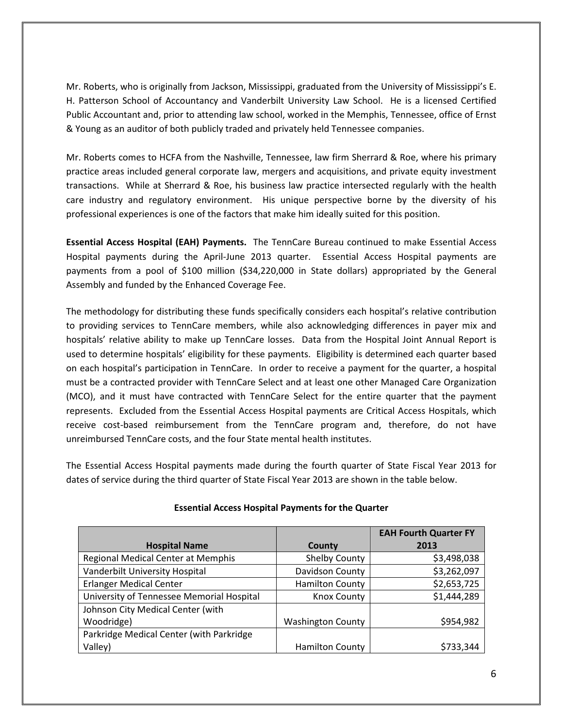Mr. Roberts, who is originally from Jackson, Mississippi, graduated from the University of Mississippi's E. H. Patterson School of Accountancy and Vanderbilt University Law School. He is a licensed Certified Public Accountant and, prior to attending law school, worked in the Memphis, Tennessee, office of Ernst & Young as an auditor of both publicly traded and privately held Tennessee companies.

Mr. Roberts comes to HCFA from the Nashville, Tennessee, law firm Sherrard & Roe, where his primary practice areas included general corporate law, mergers and acquisitions, and private equity investment transactions. While at Sherrard & Roe, his business law practice intersected regularly with the health care industry and regulatory environment. His unique perspective borne by the diversity of his professional experiences is one of the factors that make him ideally suited for this position.

**Essential Access Hospital (EAH) Payments.** The TennCare Bureau continued to make Essential Access Hospital payments during the April-June 2013 quarter. Essential Access Hospital payments are payments from a pool of \$100 million (\$34,220,000 in State dollars) appropriated by the General Assembly and funded by the Enhanced Coverage Fee.

The methodology for distributing these funds specifically considers each hospital's relative contribution to providing services to TennCare members, while also acknowledging differences in payer mix and hospitals' relative ability to make up TennCare losses. Data from the Hospital Joint Annual Report is used to determine hospitals' eligibility for these payments. Eligibility is determined each quarter based on each hospital's participation in TennCare. In order to receive a payment for the quarter, a hospital must be a contracted provider with TennCare Select and at least one other Managed Care Organization (MCO), and it must have contracted with TennCare Select for the entire quarter that the payment represents. Excluded from the Essential Access Hospital payments are Critical Access Hospitals, which receive cost-based reimbursement from the TennCare program and, therefore, do not have unreimbursed TennCare costs, and the four State mental health institutes.

The Essential Access Hospital payments made during the fourth quarter of State Fiscal Year 2013 for dates of service during the third quarter of State Fiscal Year 2013 are shown in the table below.

|                                           |                          | <b>EAH Fourth Quarter FY</b> |
|-------------------------------------------|--------------------------|------------------------------|
| <b>Hospital Name</b>                      | <b>County</b>            | 2013                         |
| Regional Medical Center at Memphis        | <b>Shelby County</b>     | \$3,498,038                  |
| Vanderbilt University Hospital            | Davidson County          | \$3,262,097                  |
| <b>Erlanger Medical Center</b>            | <b>Hamilton County</b>   | \$2,653,725                  |
| University of Tennessee Memorial Hospital | <b>Knox County</b>       | \$1,444,289                  |
| Johnson City Medical Center (with         |                          |                              |
| Woodridge)                                | <b>Washington County</b> | \$954,982                    |
| Parkridge Medical Center (with Parkridge  |                          |                              |
| Valley)                                   | <b>Hamilton County</b>   | \$733,344                    |

### **Essential Access Hospital Payments for the Quarter**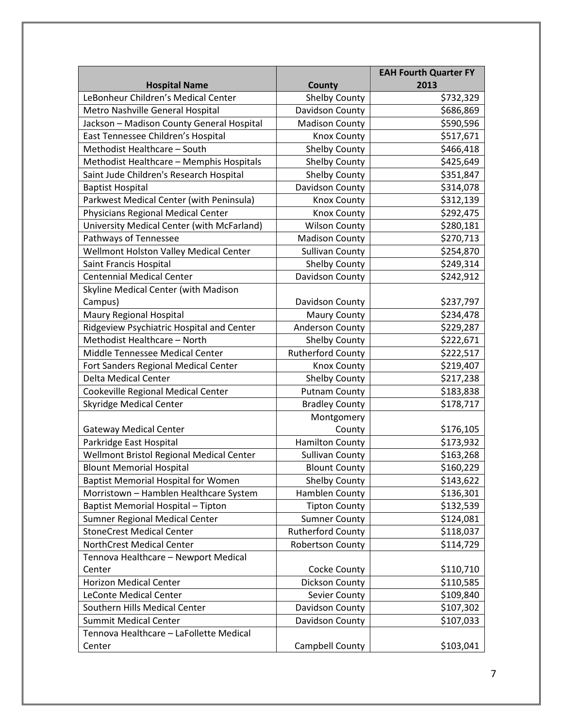|                                            |                          | <b>EAH Fourth Quarter FY</b> |
|--------------------------------------------|--------------------------|------------------------------|
| <b>Hospital Name</b>                       | County                   | 2013                         |
| LeBonheur Children's Medical Center        | <b>Shelby County</b>     | \$732,329                    |
| Metro Nashville General Hospital           | Davidson County          | \$686,869                    |
| Jackson - Madison County General Hospital  | <b>Madison County</b>    | \$590,596                    |
| East Tennessee Children's Hospital         | <b>Knox County</b>       | \$517,671                    |
| Methodist Healthcare - South               | <b>Shelby County</b>     | \$466,418                    |
| Methodist Healthcare - Memphis Hospitals   | <b>Shelby County</b>     | \$425,649                    |
| Saint Jude Children's Research Hospital    | <b>Shelby County</b>     | \$351,847                    |
| <b>Baptist Hospital</b>                    | Davidson County          | \$314,078                    |
| Parkwest Medical Center (with Peninsula)   | <b>Knox County</b>       | \$312,139                    |
| <b>Physicians Regional Medical Center</b>  | <b>Knox County</b>       | \$292,475                    |
| University Medical Center (with McFarland) | <b>Wilson County</b>     | \$280,181                    |
| Pathways of Tennessee                      | <b>Madison County</b>    | \$270,713                    |
| Wellmont Holston Valley Medical Center     | <b>Sullivan County</b>   | \$254,870                    |
| Saint Francis Hospital                     | <b>Shelby County</b>     | \$249,314                    |
| <b>Centennial Medical Center</b>           | Davidson County          | \$242,912                    |
| Skyline Medical Center (with Madison       |                          |                              |
| Campus)                                    | Davidson County          | \$237,797                    |
| <b>Maury Regional Hospital</b>             | <b>Maury County</b>      | \$234,478                    |
| Ridgeview Psychiatric Hospital and Center  | <b>Anderson County</b>   | \$229,287                    |
| Methodist Healthcare - North               | <b>Shelby County</b>     | \$222,671                    |
| Middle Tennessee Medical Center            | <b>Rutherford County</b> | \$222,517                    |
| Fort Sanders Regional Medical Center       | <b>Knox County</b>       | \$219,407                    |
| <b>Delta Medical Center</b>                | <b>Shelby County</b>     | \$217,238                    |
| Cookeville Regional Medical Center         | <b>Putnam County</b>     | \$183,838                    |
| <b>Skyridge Medical Center</b>             | <b>Bradley County</b>    | \$178,717                    |
|                                            | Montgomery               |                              |
| <b>Gateway Medical Center</b>              | County                   | \$176,105                    |
| Parkridge East Hospital                    | <b>Hamilton County</b>   | \$173,932                    |
| Wellmont Bristol Regional Medical Center   | <b>Sullivan County</b>   | \$163,268                    |
| <b>Blount Memorial Hospital</b>            | <b>Blount County</b>     | \$160,229                    |
| <b>Baptist Memorial Hospital for Women</b> | <b>Shelby County</b>     | \$143,622                    |
| Morristown - Hamblen Healthcare System     | Hamblen County           | \$136,301                    |
| Baptist Memorial Hospital - Tipton         | <b>Tipton County</b>     | \$132,539                    |
| Sumner Regional Medical Center             | <b>Sumner County</b>     | \$124,081                    |
| <b>StoneCrest Medical Center</b>           | <b>Rutherford County</b> | \$118,037                    |
| NorthCrest Medical Center                  | <b>Robertson County</b>  | \$114,729                    |
| Tennova Healthcare - Newport Medical       |                          |                              |
| Center                                     | Cocke County             | \$110,710                    |
| <b>Horizon Medical Center</b>              | Dickson County           | \$110,585                    |
| LeConte Medical Center                     | Sevier County            | \$109,840                    |
| Southern Hills Medical Center              | Davidson County          | \$107,302                    |
| <b>Summit Medical Center</b>               | Davidson County          | \$107,033                    |
| Tennova Healthcare - LaFollette Medical    |                          |                              |
| Center                                     | Campbell County          | \$103,041                    |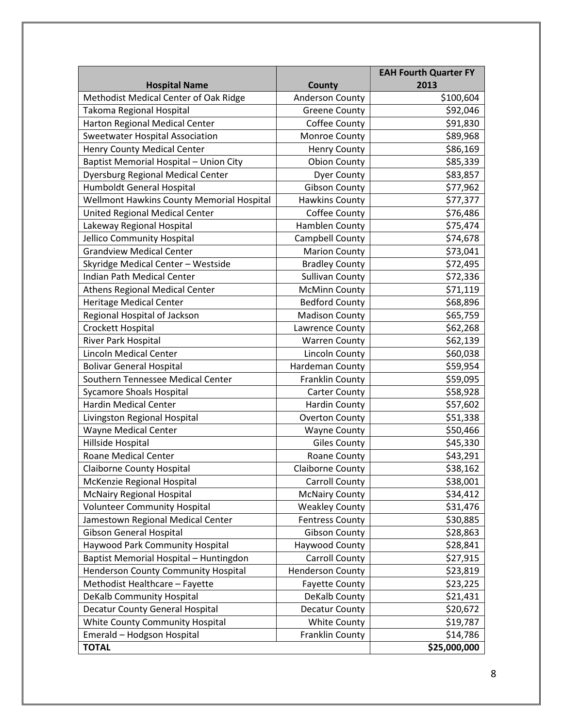|                                           |                         | <b>EAH Fourth Quarter FY</b> |
|-------------------------------------------|-------------------------|------------------------------|
| <b>Hospital Name</b>                      | County                  | 2013                         |
| Methodist Medical Center of Oak Ridge     | <b>Anderson County</b>  | \$100,604                    |
| Takoma Regional Hospital                  | <b>Greene County</b>    | \$92,046                     |
| Harton Regional Medical Center            | Coffee County           | \$91,830                     |
| Sweetwater Hospital Association           | Monroe County           | \$89,968                     |
| Henry County Medical Center               | <b>Henry County</b>     | \$86,169                     |
| Baptist Memorial Hospital - Union City    | <b>Obion County</b>     | \$85,339                     |
| <b>Dyersburg Regional Medical Center</b>  | <b>Dyer County</b>      | \$83,857                     |
| Humboldt General Hospital                 | <b>Gibson County</b>    | \$77,962                     |
| Wellmont Hawkins County Memorial Hospital | <b>Hawkins County</b>   | \$77,377                     |
| United Regional Medical Center            | Coffee County           | \$76,486                     |
| Lakeway Regional Hospital                 | Hamblen County          | \$75,474                     |
| Jellico Community Hospital                | Campbell County         | \$74,678                     |
| <b>Grandview Medical Center</b>           | <b>Marion County</b>    | \$73,041                     |
| Skyridge Medical Center - Westside        | <b>Bradley County</b>   | \$72,495                     |
| Indian Path Medical Center                | <b>Sullivan County</b>  | \$72,336                     |
| <b>Athens Regional Medical Center</b>     | <b>McMinn County</b>    | \$71,119                     |
| <b>Heritage Medical Center</b>            | <b>Bedford County</b>   | \$68,896                     |
| Regional Hospital of Jackson              | <b>Madison County</b>   | \$65,759                     |
| Crockett Hospital                         | Lawrence County         | \$62,268                     |
| River Park Hospital                       | <b>Warren County</b>    | \$62,139                     |
| <b>Lincoln Medical Center</b>             | <b>Lincoln County</b>   | \$60,038                     |
| <b>Bolivar General Hospital</b>           | Hardeman County         | \$59,954                     |
| Southern Tennessee Medical Center         | Franklin County         | \$59,095                     |
| <b>Sycamore Shoals Hospital</b>           | <b>Carter County</b>    | \$58,928                     |
| <b>Hardin Medical Center</b>              | <b>Hardin County</b>    | \$57,602                     |
| Livingston Regional Hospital              | <b>Overton County</b>   | \$51,338                     |
| <b>Wayne Medical Center</b>               | <b>Wayne County</b>     | \$50,466                     |
| Hillside Hospital                         | <b>Giles County</b>     | \$45,330                     |
| <b>Roane Medical Center</b>               | Roane County            | \$43,291                     |
| <b>Claiborne County Hospital</b>          | <b>Claiborne County</b> | \$38,162                     |
| McKenzie Regional Hospital                | Carroll County          | \$38,001                     |
| <b>McNairy Regional Hospital</b>          | <b>McNairy County</b>   | \$34,412                     |
| <b>Volunteer Community Hospital</b>       | <b>Weakley County</b>   | \$31,476                     |
| Jamestown Regional Medical Center         | <b>Fentress County</b>  | \$30,885                     |
| Gibson General Hospital                   | <b>Gibson County</b>    | \$28,863                     |
| Haywood Park Community Hospital           | Haywood County          | \$28,841                     |
| Baptist Memorial Hospital - Huntingdon    | <b>Carroll County</b>   | \$27,915                     |
| Henderson County Community Hospital       | <b>Henderson County</b> | \$23,819                     |
| Methodist Healthcare - Fayette            | <b>Fayette County</b>   | \$23,225                     |
| DeKalb Community Hospital                 | DeKalb County           | \$21,431                     |
| Decatur County General Hospital           | <b>Decatur County</b>   | \$20,672                     |
| White County Community Hospital           | <b>White County</b>     | \$19,787                     |
| Emerald - Hodgson Hospital                | Franklin County         | \$14,786                     |
| <b>TOTAL</b>                              |                         | \$25,000,000                 |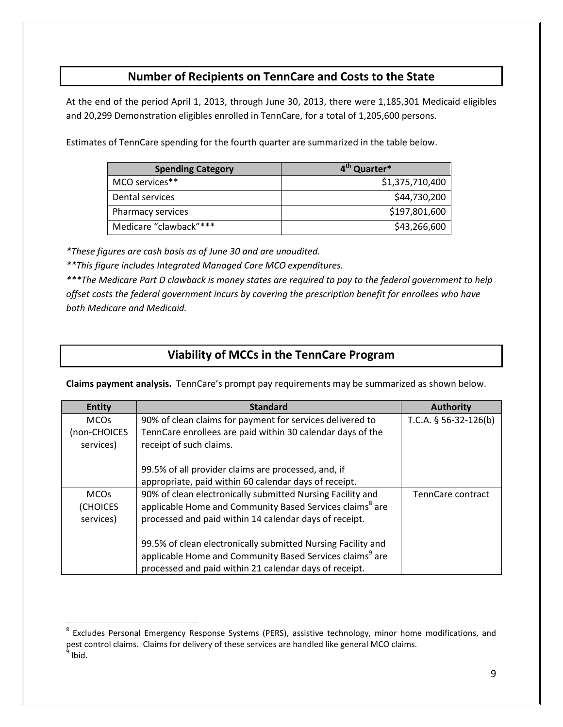## **Number of Recipients on TennCare and Costs to the State**

At the end of the period April 1, 2013, through June 30, 2013, there were 1,185,301 Medicaid eligibles and 20,299 Demonstration eligibles enrolled in TennCare, for a total of 1,205,600 persons.

Estimates of TennCare spending for the fourth quarter are summarized in the table below.

| <b>Spending Category</b> | 4 <sup>th</sup> Quarter* |
|--------------------------|--------------------------|
| MCO services**           | \$1,375,710,400          |
| Dental services          | \$44,730,200             |
| Pharmacy services        | \$197,801,600            |
| Medicare "clawback"***   | \$43,266,600             |

*\*These figures are cash basis as of June 30 and are unaudited.* 

 $\overline{a}$ 

*\*\*This figure includes Integrated Managed Care MCO expenditures.* 

*\*\*\*The Medicare Part D clawback is money states are required to pay to the federal government to help offset costs the federal government incurs by covering the prescription benefit for enrollees who have both Medicare and Medicaid.*

## **Viability of MCCs in the TennCare Program**

**Claims payment analysis.** TennCare's prompt pay requirements may be summarized as shown below.

| <b>Entity</b> | <b>Standard</b>                                                      | <b>Authority</b>        |
|---------------|----------------------------------------------------------------------|-------------------------|
| <b>MCOs</b>   | 90% of clean claims for payment for services delivered to            | T.C.A. $§$ 56-32-126(b) |
| (non-CHOICES  | TennCare enrollees are paid within 30 calendar days of the           |                         |
| services)     | receipt of such claims.                                              |                         |
|               |                                                                      |                         |
|               | 99.5% of all provider claims are processed, and, if                  |                         |
|               | appropriate, paid within 60 calendar days of receipt.                |                         |
| <b>MCOs</b>   | 90% of clean electronically submitted Nursing Facility and           | TennCare contract       |
| (CHOICES      | applicable Home and Community Based Services claims <sup>8</sup> are |                         |
| services)     | processed and paid within 14 calendar days of receipt.               |                         |
|               |                                                                      |                         |
|               | 99.5% of clean electronically submitted Nursing Facility and         |                         |
|               | applicable Home and Community Based Services claims <sup>9</sup> are |                         |
|               | processed and paid within 21 calendar days of receipt.               |                         |

<sup>&</sup>lt;sup>8</sup> Excludes Personal Emergency Response Systems (PERS), assistive technology, minor home modifications, and pest control claims. Claims for delivery of these services are handled like general MCO claims.<br><sup>9</sup> Ibid.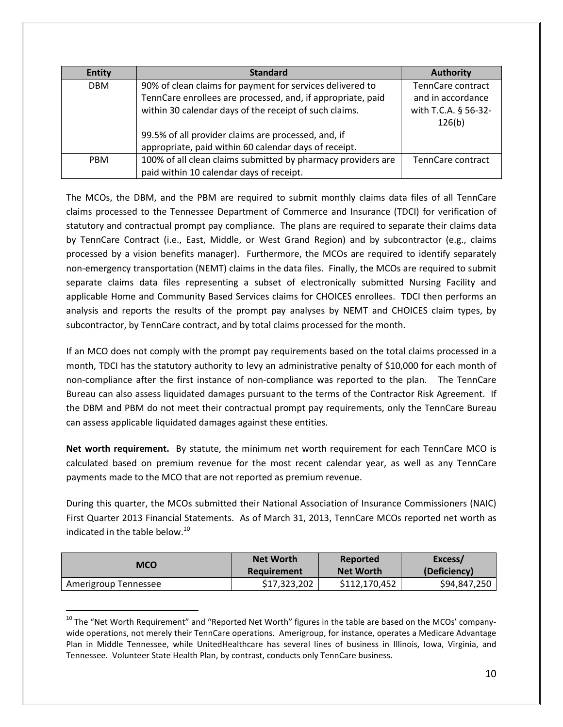| <b>Entity</b> | <b>Standard</b>                                              | <b>Authority</b>     |
|---------------|--------------------------------------------------------------|----------------------|
| <b>DBM</b>    | 90% of clean claims for payment for services delivered to    | TennCare contract    |
|               | TennCare enrollees are processed, and, if appropriate, paid  | and in accordance    |
|               | within 30 calendar days of the receipt of such claims.       | with T.C.A. § 56-32- |
|               |                                                              | 126(b)               |
|               | 99.5% of all provider claims are processed, and, if          |                      |
|               | appropriate, paid within 60 calendar days of receipt.        |                      |
| <b>PBM</b>    | 100% of all clean claims submitted by pharmacy providers are | TennCare contract    |
|               | paid within 10 calendar days of receipt.                     |                      |

The MCOs, the DBM, and the PBM are required to submit monthly claims data files of all TennCare claims processed to the Tennessee Department of Commerce and Insurance (TDCI) for verification of statutory and contractual prompt pay compliance. The plans are required to separate their claims data by TennCare Contract (i.e., East, Middle, or West Grand Region) and by subcontractor (e.g., claims processed by a vision benefits manager). Furthermore, the MCOs are required to identify separately non-emergency transportation (NEMT) claims in the data files. Finally, the MCOs are required to submit separate claims data files representing a subset of electronically submitted Nursing Facility and applicable Home and Community Based Services claims for CHOICES enrollees. TDCI then performs an analysis and reports the results of the prompt pay analyses by NEMT and CHOICES claim types, by subcontractor, by TennCare contract, and by total claims processed for the month.

If an MCO does not comply with the prompt pay requirements based on the total claims processed in a month, TDCI has the statutory authority to levy an administrative penalty of \$10,000 for each month of non-compliance after the first instance of non-compliance was reported to the plan. The TennCare Bureau can also assess liquidated damages pursuant to the terms of the Contractor Risk Agreement. If the DBM and PBM do not meet their contractual prompt pay requirements, only the TennCare Bureau can assess applicable liquidated damages against these entities.

**Net worth requirement.** By statute, the minimum net worth requirement for each TennCare MCO is calculated based on premium revenue for the most recent calendar year, as well as any TennCare payments made to the MCO that are not reported as premium revenue.

During this quarter, the MCOs submitted their National Association of Insurance Commissioners (NAIC) First Quarter 2013 Financial Statements. As of March 31, 2013, TennCare MCOs reported net worth as indicated in the table below. $^{10}$ 

| MCO                  | <b>Net Worth</b> | Reported         | Excess/      |
|----------------------|------------------|------------------|--------------|
|                      | Requirement      | <b>Net Worth</b> | (Deficiency) |
| Amerigroup Tennessee | \$17,323,202     | \$112,170,452    | \$94,847,250 |

<sup>&</sup>lt;sup>10</sup> The "Net Worth Requirement" and "Reported Net Worth" figures in the table are based on the MCOs' companywide operations, not merely their TennCare operations. Amerigroup, for instance, operates a Medicare Advantage Plan in Middle Tennessee, while UnitedHealthcare has several lines of business in Illinois, Iowa, Virginia, and Tennessee. Volunteer State Health Plan, by contrast, conducts only TennCare business.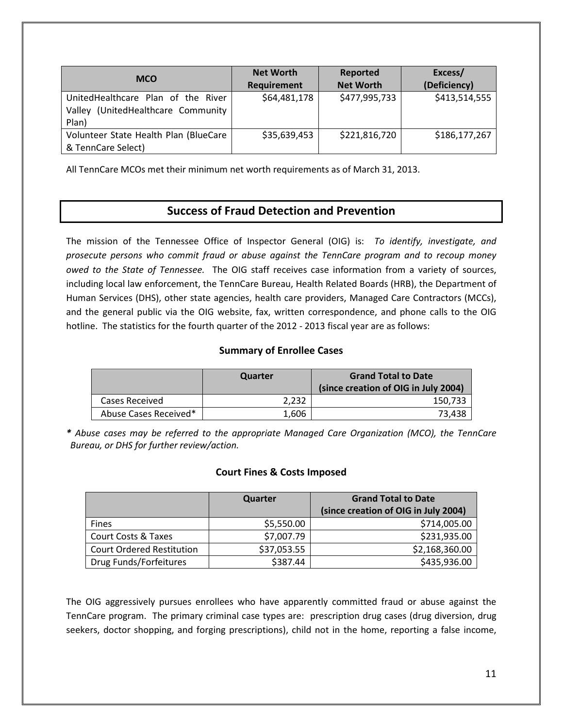| <b>MCO</b>                                                                           | <b>Net Worth</b><br>Requirement | Reported<br><b>Net Worth</b> | Excess/<br>(Deficiency) |
|--------------------------------------------------------------------------------------|---------------------------------|------------------------------|-------------------------|
| UnitedHealthcare Plan of the River<br>(UnitedHealthcare Community<br>Vallev<br>Plan) | \$64,481,178                    | \$477,995,733                | \$413,514,555           |
| Volunteer State Health Plan (BlueCare<br>& TennCare Select)                          | \$35,639,453                    | \$221,816,720                | \$186,177,267           |

All TennCare MCOs met their minimum net worth requirements as of March 31, 2013.

## **Success of Fraud Detection and Prevention**

The mission of the Tennessee Office of Inspector General (OIG) is: *To identify, investigate, and prosecute persons who commit fraud or abuse against the TennCare program and to recoup money owed to the State of Tennessee.* The OIG staff receives case information from a variety of sources, including local law enforcement, the TennCare Bureau, Health Related Boards (HRB), the Department of Human Services (DHS), other state agencies, health care providers, Managed Care Contractors (MCCs), and the general public via the OIG website, fax, written correspondence, and phone calls to the OIG hotline. The statistics for the fourth quarter of the 2012 - 2013 fiscal year are as follows:

### **Summary of Enrollee Cases**

|                       | Quarter | <b>Grand Total to Date</b><br>(since creation of OIG in July 2004) |
|-----------------------|---------|--------------------------------------------------------------------|
| Cases Received        | 2.232   | 150.733                                                            |
| Abuse Cases Received* | 1.606   | 73.438                                                             |

*\* Abuse cases may be referred to the appropriate Managed Care Organization (MCO), the TennCare Bureau, or DHS for further review/action.* 

### **Court Fines & Costs Imposed**

|                                  | Quarter     | <b>Grand Total to Date</b>           |
|----------------------------------|-------------|--------------------------------------|
|                                  |             | (since creation of OIG in July 2004) |
| <b>Fines</b>                     | \$5,550.00  | \$714,005.00                         |
| <b>Court Costs &amp; Taxes</b>   | \$7,007.79  | \$231,935.00                         |
| <b>Court Ordered Restitution</b> | \$37,053.55 | \$2,168,360.00                       |
| Drug Funds/Forfeitures           | \$387.44    | \$435,936.00                         |

The OIG aggressively pursues enrollees who have apparently committed fraud or abuse against the TennCare program. The primary criminal case types are: prescription drug cases (drug diversion, drug seekers, doctor shopping, and forging prescriptions), child not in the home, reporting a false income,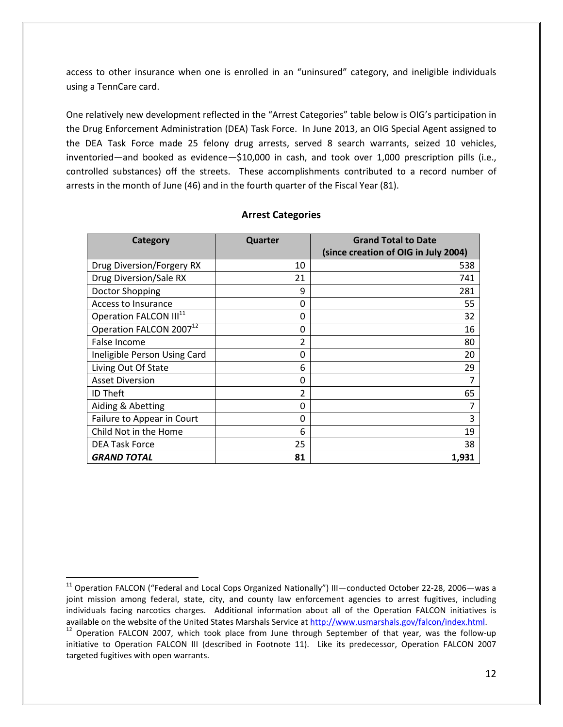access to other insurance when one is enrolled in an "uninsured" category, and ineligible individuals using a TennCare card.

One relatively new development reflected in the "Arrest Categories" table below is OIG's participation in the Drug Enforcement Administration (DEA) Task Force. In June 2013, an OIG Special Agent assigned to the DEA Task Force made 25 felony drug arrests, served 8 search warrants, seized 10 vehicles, inventoried—and booked as evidence—\$10,000 in cash, and took over 1,000 prescription pills (i.e., controlled substances) off the streets. These accomplishments contributed to a record number of arrests in the month of June (46) and in the fourth quarter of the Fiscal Year (81).

| Category                            | Quarter        | <b>Grand Total to Date</b><br>(since creation of OIG in July 2004) |
|-------------------------------------|----------------|--------------------------------------------------------------------|
|                                     |                |                                                                    |
| Drug Diversion/Forgery RX           | 10             | 538                                                                |
| Drug Diversion/Sale RX              | 21             | 741                                                                |
| Doctor Shopping                     | 9              | 281                                                                |
| Access to Insurance                 | 0              | 55                                                                 |
| Operation FALCON III <sup>11</sup>  | 0              | 32                                                                 |
| Operation FALCON 2007 <sup>12</sup> | 0              | 16                                                                 |
| False Income                        | $\overline{2}$ | 80                                                                 |
| Ineligible Person Using Card        | 0              | 20                                                                 |
| Living Out Of State                 | 6              | 29                                                                 |
| <b>Asset Diversion</b>              | 0              | 7                                                                  |
| <b>ID Theft</b>                     | $\overline{2}$ | 65                                                                 |
| Aiding & Abetting                   | 0              |                                                                    |
| Failure to Appear in Court          | 0              | 3                                                                  |
| Child Not in the Home               | 6              | 19                                                                 |
| <b>DEA Task Force</b>               | 25             | 38                                                                 |
| <b>GRAND TOTAL</b>                  | 81             | 1,931                                                              |

### **Arrest Categories**

<sup>&</sup>lt;sup>11</sup> Operation FALCON ("Federal and Local Cops Organized Nationally") III—conducted October 22-28, 2006—was a joint mission among federal, state, city, and county law enforcement agencies to arrest fugitives, including individuals facing narcotics charges. Additional information about all of the Operation FALCON initiatives is available on the website of the United States Marshals Service at http://www.usmarshals.gov/falcon/index.html.

 $12$  Operation FALCON 2007, which took place from June through September of that year, was the follow-up initiative to Operation FALCON III (described in Footnote 11). Like its predecessor, Operation FALCON 2007 targeted fugitives with open warrants.